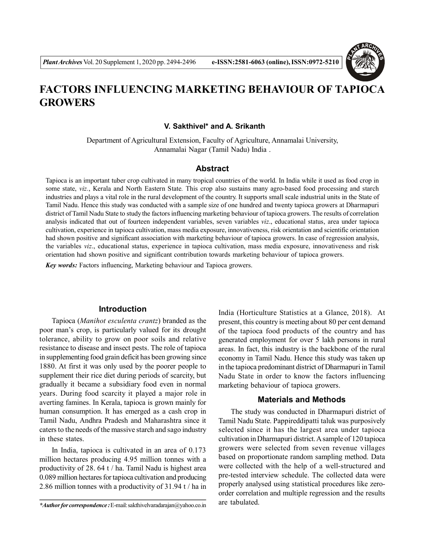

# **FACTORS INFLUENCING MARKETING BEHAVIOUR OF TAPIOCA GROWERS**

## **V. Sakthivel\* and A. Srikanth**

Department of Agricultural Extension, Faculty of Agriculture, Annamalai University, Annamalai Nagar (Tamil Nadu) India .

## **Abstract**

Tapioca is an important tuber crop cultivated in many tropical countries of the world. In India while it used as food crop in some state, *viz.*, Kerala and North Eastern State*.* This crop also sustains many agro-based food processing and starch industries and plays a vital role in the rural development of the country. It supports small scale industrial units in the State of Tamil Nadu. Hence this study was conducted with a sample size of one hundred and twenty tapioca growers at Dharmapuri district of Tamil Nadu State to study the factors influencing marketing behaviour of tapioca growers. The results of correlation analysis indicated that out of fourteen independent variables, seven variables *viz*., educational status, area under tapioca cultivation, experience in tapioca cultivation, mass media exposure, innovativeness, risk orientation and scientific orientation had shown positive and significant association with marketing behaviour of tapioca growers. In case of regression analysis, the variables *viz*., educational status, experience in tapioca cultivation, mass media exposure, innovativeness and risk orientation had shown positive and significant contribution towards marketing behaviour of tapioca growers.

*Key words:* Factors influencing, Marketing behaviour and Tapioca growers.

## **Introduction**

Tapioca (*Manihot esculenta crantz*) branded as the poor man's crop, is particularly valued for its drought tolerance, ability to grow on poor soils and relative resistance to disease and insect pests. The role of tapioca in supplementing food grain deficit has been growing since 1880. At first it was only used by the poorer people to supplement their rice diet during periods of scarcity, but gradually it became a subsidiary food even in normal years. During food scarcity it played a major role in averting famines. In Kerala, tapioca is grown mainly for human consumption. It has emerged as a cash crop in Tamil Nadu, Andhra Pradesh and Maharashtra since it caters to the needs of the massive starch and sago industry in these states.

In India, tapioca is cultivated in an area of 0.173 million hectares producing 4.95 million tonnes with a productivity of 28. 64 t / ha. Tamil Nadu is highest area 0.089 million hectares for tapioca cultivation and producing 2.86 million tonnes with a productivity of 31.94 t / ha in India (Horticulture Statistics at a Glance, 2018). At present, this country is meeting about 80 per cent demand of the tapioca food products of the country and has generated employment for over 5 lakh persons in rural areas. In fact, this industry is the backbone of the rural economy in Tamil Nadu. Hence this study was taken up in the tapioca predominant district of Dharmapuri in Tamil Nadu State in order to know the factors influencing marketing behaviour of tapioca growers.

#### **Materials and Methods**

The study was conducted in Dharmapuri district of Tamil Nadu State. Pappireddipatti taluk was purposively selected since it has the largest area under tapioca cultivation in Dharmapuri district. A sample of 120 tapioca growers were selected from seven revenue villages based on proportionate random sampling method. Data were collected with the help of a well-structured and pre-tested interview schedule. The collected data were properly analysed using statistical procedures like zeroorder correlation and multiple regression and the results are tabulated.

*<sup>\*</sup>Author for correspondence :* E-mail: sakthivelvaradarajan@yahoo.co.in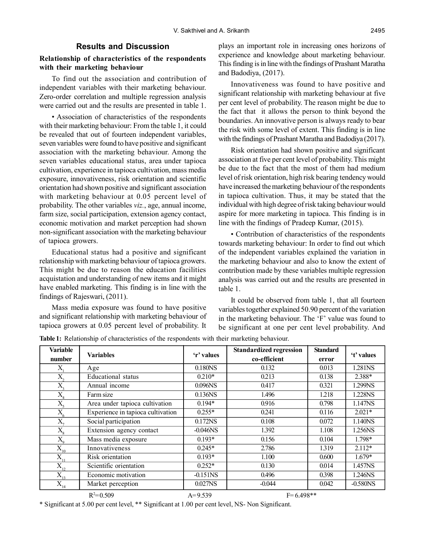### **Results and Discussion**

## **Relationship of characteristics of the respondents with their marketing behaviour**

To find out the association and contribution of independent variables with their marketing behaviour. Zero-order correlation and multiple regression analysis were carried out and the results are presented in table 1.

• Association of characteristics of the respondents with their marketing behaviour: From the table 1, it could be revealed that out of fourteen independent variables, seven variables were found to have positive and significant association with the marketing behaviour. Among the seven variables educational status, area under tapioca cultivation, experience in tapioca cultivation, mass media exposure, innovativeness, risk orientation and scientific orientation had shown positive and significant association with marketing behaviour at 0.05 percent level of probability. The other variables *viz.*, age, annual income, farm size, social participation, extension agency contact, economic motivation and market perception had shown non-significant association with the marketing behaviour of tapioca growers.

Educational status had a positive and significant relationship with marketing behaviour of tapioca growers. This might be due to reason the education facilities acquistation and understanding of new items and it might have enabled marketing. This finding is in line with the findings of Rajeswari, (2011).

Mass media exposure was found to have positive and significant relationship with marketing behaviour of tapioca growers at 0.05 percent level of probability. It

plays an important role in increasing ones horizons of experience and knowledge about marketing behaviour. This finding is in line with the findings of Prashant Maratha and Badodiya, (2017).

Innovativeness was found to have positive and significant relationship with marketing behaviour at five per cent level of probability. The reason might be due to the fact that it allows the person to think beyond the boundaries. An innovative person is always ready to bear the risk with some level of extent. This finding is in line with the findings of Prashant Maratha and Badodiya (2017).

Risk orientation had shown positive and significant association at five per cent level of probability. This might be due to the fact that the most of them had medium level of risk orientation, high risk bearing tendency would have increased the marketing behaviour of the respondents in tapioca cultivation. Thus, it may be stated that the individual with high degree of risk taking behaviour would aspire for more marketing in tapioca. This finding is in line with the findings of Pradeep Kumar, (2015).

• Contribution of characteristics of the respondents towards marketing behaviour: In order to find out which of the independent variables explained the variation in the marketing behaviour and also to know the extent of contribution made by these variables multiple regression analysis was carried out and the results are presented in table 1.

It could be observed from table 1, that all fourteen variables together explained 50.90 percent of the variation in the marketing behaviour. The 'F' value was found to be significant at one per cent level probability. And

| <b>Variable</b>                 | <b>Variables</b>                  | 'r' values  | <b>Standardized regression</b> | <b>Standard</b> | 't' values             |
|---------------------------------|-----------------------------------|-------------|--------------------------------|-----------------|------------------------|
| number                          |                                   |             | co-efficient                   | error           |                        |
| Χ                               | Age                               | 0.180NS     | 0.132                          | 0.013           | 1.281NS                |
| $\overline{X}_n$                | <b>Educational</b> status         | $0.210*$    | 0.213                          | 0.138           | 2.388*                 |
| $X_{\alpha}$                    | Annual income                     | 0.096NS     | 0.417                          | 0.321           | 1.299NS                |
| $X_{\alpha}$                    | Farm size                         | 0.136NS     | 1.496                          | 1.218           | 1.228NS                |
| $X_{\varsigma}$                 | Area under tapioca cultivation    | $0.194*$    | 0.916                          | 0.798           | 1.147NS                |
| $X_{\cdot}$                     | Experience in tapioca cultivation | $0.255*$    | 0.241                          | 0.116           | $2.021*$               |
| $X_{\mathcal{A}}$               | Social participation              | 0.172NS     | 0.108                          | 0.072           | 1.140NS                |
| $X_{\circ}$                     | Extension agency contact          | $-0.046$ NS | 1.392                          | 1.108           | 1.256NS                |
| $X_{\mathrm{o}}$                | Mass media exposure               | $0.193*$    | 0.156                          | 0.104           | 1.798*                 |
| $\overline{\mathrm{X}}_{_{10}}$ | Innovativeness                    | $0.245*$    | 2.786                          | 1.319           | $2.112*$               |
| $X_{11}$                        | Risk orientation                  | $0.193*$    | 1.100                          | 0.600           | $1.679*$               |
| $X_{12}$                        | Scientific orientation            | $0.252*$    | 0.130                          | 0.014           | 1.457NS                |
| $X_{13}$                        | Economic motivation               | $-0.151NS$  | 0.496                          | 0.398           | 1.246NS                |
| $X_{14}$                        | Market perception                 | 0.027NS     | $-0.044$                       | 0.042           | $-0.580$ <sub>NS</sub> |
| $R^2 = 0.509$                   |                                   | $A=9.539$   | $F=6.498**$                    |                 |                        |

**Table 1:** Relationship of characteristics of the respondents with their marketing behaviour.

\* Significant at 5.00 per cent level, \*\* Significant at 1.00 per cent level, NS- Non Significant.